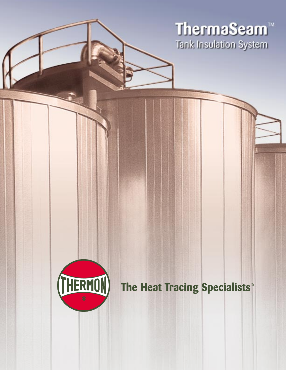ThermaSeam™ Tank Insulation System



The Heat Tracing Specialists®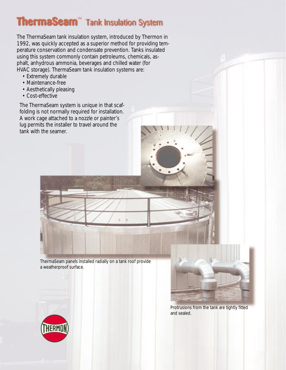# **ThermaSeam**" Tank Insulation System

The ThermaSeam tank insulation system, introduced by Thermon in 1992, was quickly accepted as a superior method for providing temperature conservation and condensate prevention. Tanks insulated using this system commonly contain petroleums, chemicals, asphalt, anhydrous ammonia, beverages and chilled water (for HVAC storage). ThermaSeam tank insulation systems are:

- Extremely durable
- Maintenance-free
- Aesthetically pleasing
- Cost-effective

The ThermaSeam system is unique in that scaffolding is not normally required for installation. A work cage attached to a nozzle or painter's lug permits the installer to travel around the tank with the seamer.



ThermaSeam panels installed radially on a tank roof provide a weatherproof surface.



Protrusions from the tank are tightly fitted and sealed.

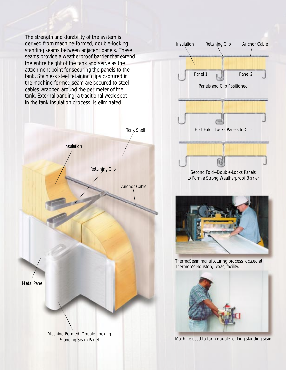The strength and durability of the system is derived from machine-formed, double-locking standing seams between adjacent panels. These seams provide a weatherproof barrier that extend the entire height of the tank and serve as the attachment point for securing the panels to the tank. Stainless steel retaining clips captured in the machine-formed seam are secured to steel cables wrapped around the perimeter of the tank. External banding, a traditional weak spot in the tank insulation process, is eliminated.







ThermaSeam manufacturing process located at Thermon's Houston, Texas, facility.



Machine used to form double-locking standing seam.